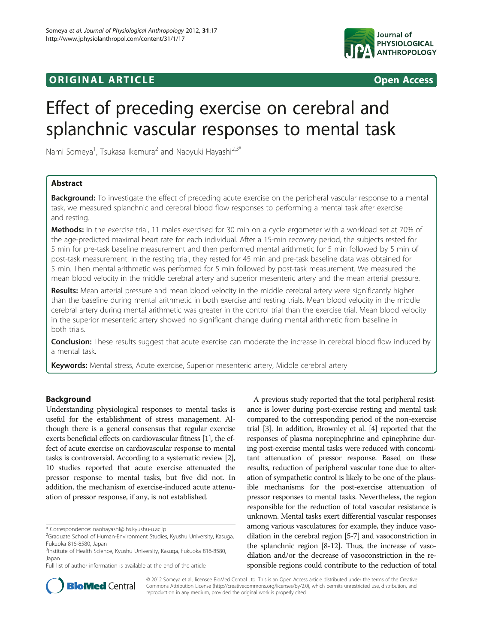



# Effect of preceding exercise on cerebral and splanchnic vascular responses to mental task

Nami Someya<sup>1</sup>, Tsukasa Ikemura<sup>2</sup> and Naoyuki Hayashi<sup>2,3\*</sup>

# Abstract

Background: To investigate the effect of preceding acute exercise on the peripheral vascular response to a mental task, we measured splanchnic and cerebral blood flow responses to performing a mental task after exercise and resting.

Methods: In the exercise trial, 11 males exercised for 30 min on a cycle ergometer with a workload set at 70% of the age-predicted maximal heart rate for each individual. After a 15-min recovery period, the subjects rested for 5 min for pre-task baseline measurement and then performed mental arithmetic for 5 min followed by 5 min of post-task measurement. In the resting trial, they rested for 45 min and pre-task baseline data was obtained for 5 min. Then mental arithmetic was performed for 5 min followed by post-task measurement. We measured the mean blood velocity in the middle cerebral artery and superior mesenteric artery and the mean arterial pressure.

Results: Mean arterial pressure and mean blood velocity in the middle cerebral artery were significantly higher than the baseline during mental arithmetic in both exercise and resting trials. Mean blood velocity in the middle cerebral artery during mental arithmetic was greater in the control trial than the exercise trial. Mean blood velocity in the superior mesenteric artery showed no significant change during mental arithmetic from baseline in both trials.

Conclusion: These results suggest that acute exercise can moderate the increase in cerebral blood flow induced by a mental task.

Keywords: Mental stress, Acute exercise, Superior mesenteric artery, Middle cerebral artery

# Background

Understanding physiological responses to mental tasks is useful for the establishment of stress management. Although there is a general consensus that regular exercise exerts beneficial effects on cardiovascular fitness [[1](#page-5-0)], the effect of acute exercise on cardiovascular response to mental tasks is controversial. According to a systematic review [[2](#page-5-0)], 10 studies reported that acute exercise attenuated the pressor response to mental tasks, but five did not. In addition, the mechanism of exercise-induced acute attenuation of pressor response, if any, is not established.

A previous study reported that the total peripheral resistance is lower during post-exercise resting and mental task compared to the corresponding period of the non-exercise trial [\[3\]](#page-5-0). In addition, Brownley et al. [\[4\]](#page-6-0) reported that the responses of plasma norepinephrine and epinephrine during post-exercise mental tasks were reduced with concomitant attenuation of pressor response. Based on these results, reduction of peripheral vascular tone due to alteration of sympathetic control is likely to be one of the plausible mechanisms for the post-exercise attenuation of pressor responses to mental tasks. Nevertheless, the region responsible for the reduction of total vascular resistance is unknown. Mental tasks exert differential vascular responses among various vasculatures; for example, they induce vasodilation in the cerebral region [[5-7\]](#page-6-0) and vasoconstriction in the splanchnic region [\[8](#page-6-0)-[12](#page-6-0)]. Thus, the increase of vasodilation and/or the decrease of vasoconstriction in the responsible regions could contribute to the reduction of total



© 2012 Someya et al.; licensee BioMed Central Ltd. This is an Open Access article distributed under the terms of the Creative Commons Attribution License [\(http://creativecommons.org/licenses/by/2.0\)](http://creativecommons.org/licenses/by/2.0), which permits unrestricted use, distribution, and reproduction in any medium, provided the original work is properly cited.

<sup>\*</sup> Correspondence: [naohayashi@ihs.kyushu-u.ac.jp](mailto:naohayashi@ihs.kyushu-u.ac.jp) <sup>2</sup>

<sup>&</sup>lt;sup>2</sup>Graduate School of Human-Environment Studies, Kyushu University, Kasuga, Fukuoka 816-8580, Japan

<sup>&</sup>lt;sup>3</sup>Institute of Health Science, Kyushu University, Kasuga, Fukuoka 816-8580, Japan

Full list of author information is available at the end of the article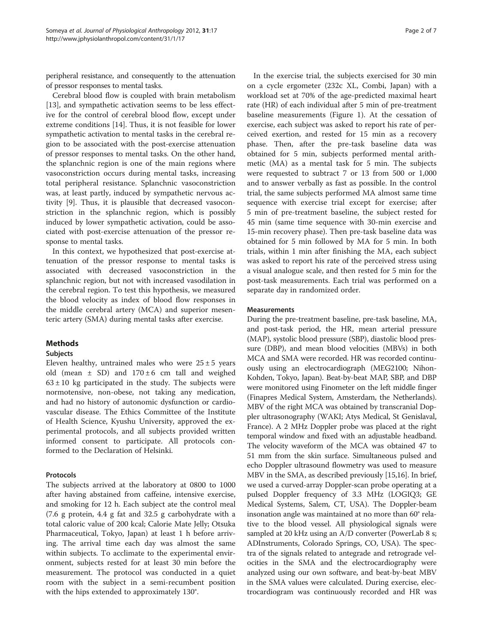peripheral resistance, and consequently to the attenuation of pressor responses to mental tasks.

Cerebral blood flow is coupled with brain metabolism [[13\]](#page-6-0), and sympathetic activation seems to be less effective for the control of cerebral blood flow, except under extreme conditions [[14](#page-6-0)]. Thus, it is not feasible for lower sympathetic activation to mental tasks in the cerebral region to be associated with the post-exercise attenuation of pressor responses to mental tasks. On the other hand, the splanchnic region is one of the main regions where vasoconstriction occurs during mental tasks, increasing total peripheral resistance. Splanchnic vasoconstriction was, at least partly, induced by sympathetic nervous activity [[9\]](#page-6-0). Thus, it is plausible that decreased vasoconstriction in the splanchnic region, which is possibly induced by lower sympathetic activation, could be associated with post-exercise attenuation of the pressor response to mental tasks.

In this context, we hypothesized that post-exercise attenuation of the pressor response to mental tasks is associated with decreased vasoconstriction in the splanchnic region, but not with increased vasodilation in the cerebral region. To test this hypothesis, we measured the blood velocity as index of blood flow responses in the middle cerebral artery (MCA) and superior mesenteric artery (SMA) during mental tasks after exercise.

# Methods

### Subjects

Eleven healthy, untrained males who were  $25 \pm 5$  years old (mean  $\pm$  SD) and  $170 \pm 6$  cm tall and weighed  $63 \pm 10$  kg participated in the study. The subjects were normotensive, non-obese, not taking any medication, and had no history of autonomic dysfunction or cardiovascular disease. The Ethics Committee of the Institute of Health Science, Kyushu University, approved the experimental protocols, and all subjects provided written informed consent to participate. All protocols conformed to the Declaration of Helsinki.

# Protocols

The subjects arrived at the laboratory at 0800 to 1000 after having abstained from caffeine, intensive exercise, and smoking for 12 h. Each subject ate the control meal (7.6 g protein, 4.4 g fat and 32.5 g carbohydrate with a total caloric value of 200 kcal; Calorie Mate Jelly; Otsuka Pharmaceutical, Tokyo, Japan) at least 1 h before arriving. The arrival time each day was almost the same within subjects. To acclimate to the experimental environment, subjects rested for at least 30 min before the measurement. The protocol was conducted in a quiet room with the subject in a semi-recumbent position with the hips extended to approximately 130°.

In the exercise trial, the subjects exercised for 30 min on a cycle ergometer (232c XL, Combi, Japan) with a workload set at 70% of the age-predicted maximal heart rate (HR) of each individual after 5 min of pre-treatment baseline measurements (Figure [1](#page-2-0)). At the cessation of exercise, each subject was asked to report his rate of perceived exertion, and rested for 15 min as a recovery phase. Then, after the pre-task baseline data was obtained for 5 min, subjects performed mental arithmetic (MA) as a mental task for 5 min. The subjects were requested to subtract 7 or 13 from 500 or 1,000 and to answer verbally as fast as possible. In the control trial, the same subjects performed MA almost same time sequence with exercise trial except for exercise; after 5 min of pre-treatment baseline, the subject rested for 45 min (same time sequence with 30-min exercise and 15-min recovery phase). Then pre-task baseline data was obtained for 5 min followed by MA for 5 min. In both trials, within 1 min after finishing the MA, each subject was asked to report his rate of the perceived stress using a visual analogue scale, and then rested for 5 min for the post-task measurements. Each trial was performed on a separate day in randomized order.

## **Measurements**

During the pre-treatment baseline, pre-task baseline, MA, and post-task period, the HR, mean arterial pressure (MAP), systolic blood pressure (SBP), diastolic blood pressure (DBP), and mean blood velocities (MBVs) in both MCA and SMA were recorded. HR was recorded continuously using an electrocardiograph (MEG2100; Nihon-Kohden, Tokyo, Japan). Beat-by-beat MAP, SBP, and DBP were monitored using Finometer on the left middle finger (Finapres Medical System, Amsterdam, the Netherlands). MBV of the right MCA was obtained by transcranial Doppler ultrasonography (WAKI; Atys Medical, St Genislaval, France). A 2 MHz Doppler probe was placed at the right temporal window and fixed with an adjustable headband. The velocity waveform of the MCA was obtained 47 to 51 mm from the skin surface. Simultaneous pulsed and echo Doppler ultrasound flowmetry was used to measure MBV in the SMA, as described previously [\[15,16](#page-6-0)]. In brief, we used a curved-array Doppler-scan probe operating at a pulsed Doppler frequency of 3.3 MHz (LOGIQ3; GE Medical Systems, Salem, CT, USA). The Doppler-beam insonation angle was maintained at no more than 60° relative to the blood vessel. All physiological signals were sampled at 20 kHz using an A/D converter (PowerLab 8 s; ADInstruments, Colorado Springs, CO, USA). The spectra of the signals related to antegrade and retrograde velocities in the SMA and the electrocardiography were analyzed using our own software, and beat-by-beat MBV in the SMA values were calculated. During exercise, electrocardiogram was continuously recorded and HR was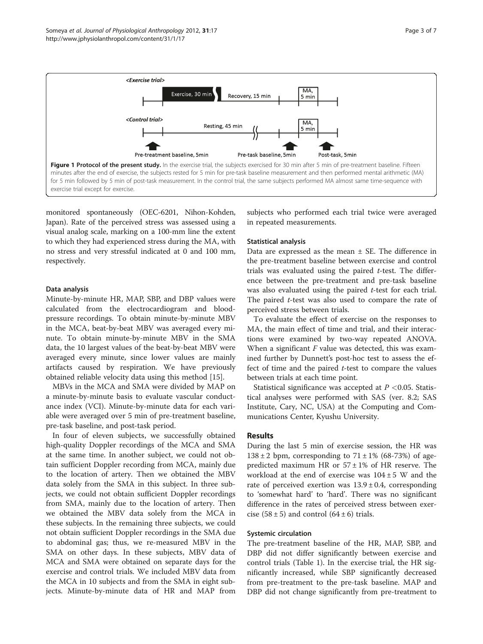

<span id="page-2-0"></span>

monitored spontaneously (OEC-6201, Nihon-Kohden, Japan). Rate of the perceived stress was assessed using a visual analog scale, marking on a 100-mm line the extent to which they had experienced stress during the MA, with no stress and very stressful indicated at 0 and 100 mm, respectively.

#### Data analysis

Minute-by-minute HR, MAP, SBP, and DBP values were calculated from the electrocardiogram and bloodpressure recordings. To obtain minute-by-minute MBV in the MCA, beat-by-beat MBV was averaged every minute. To obtain minute-by-minute MBV in the SMA data, the 10 largest values of the beat-by-beat MBV were averaged every minute, since lower values are mainly artifacts caused by respiration. We have previously obtained reliable velocity data using this method [[15\]](#page-6-0).

MBVs in the MCA and SMA were divided by MAP on a minute-by-minute basis to evaluate vascular conductance index (VCI). Minute-by-minute data for each variable were averaged over 5 min of pre-treatment baseline, pre-task baseline, and post-task period.

In four of eleven subjects, we successfully obtained high-quality Doppler recordings of the MCA and SMA at the same time. In another subject, we could not obtain sufficient Doppler recording from MCA, mainly due to the location of artery. Then we obtained the MBV data solely from the SMA in this subject. In three subjects, we could not obtain sufficient Doppler recordings from SMA, mainly due to the location of artery. Then we obtained the MBV data solely from the MCA in these subjects. In the remaining three subjects, we could not obtain sufficient Doppler recordings in the SMA due to abdominal gas; thus, we re-measured MBV in the SMA on other days. In these subjects, MBV data of MCA and SMA were obtained on separate days for the exercise and control trials. We included MBV data from the MCA in 10 subjects and from the SMA in eight subjects. Minute-by-minute data of HR and MAP from

subjects who performed each trial twice were averaged in repeated measurements.

#### Statistical analysis

Data are expressed as the mean  $\pm$  SE. The difference in the pre-treatment baseline between exercise and control trials was evaluated using the paired t-test. The difference between the pre-treatment and pre-task baseline was also evaluated using the paired t-test for each trial. The paired  $t$ -test was also used to compare the rate of perceived stress between trials.

To evaluate the effect of exercise on the responses to MA, the main effect of time and trial, and their interactions were examined by two-way repeated ANOVA. When a significant  $F$  value was detected, this was examined further by Dunnett's post-hoc test to assess the effect of time and the paired  $t$ -test to compare the values between trials at each time point.

Statistical significance was accepted at  $P < 0.05$ . Statistical analyses were performed with SAS (ver. 8.2; SAS Institute, Cary, NC, USA) at the Computing and Communications Center, Kyushu University.

## Results

During the last 5 min of exercise session, the HR was  $138 \pm 2$  bpm, corresponding to  $71 \pm 1\%$  (68-73%) of agepredicted maximum HR or  $57 \pm 1\%$  of HR reserve. The workload at the end of exercise was  $104 \pm 5$  W and the rate of perceived exertion was  $13.9 \pm 0.4$ , corresponding to 'somewhat hard' to 'hard'. There was no significant difference in the rates of perceived stress between exercise (58  $\pm$  5) and control (64  $\pm$  6) trials.

#### Systemic circulation

The pre-treatment baseline of the HR, MAP, SBP, and DBP did not differ significantly between exercise and control trials (Table [1](#page-3-0)). In the exercise trial, the HR significantly increased, while SBP significantly decreased from pre-treatment to the pre-task baseline. MAP and DBP did not change significantly from pre-treatment to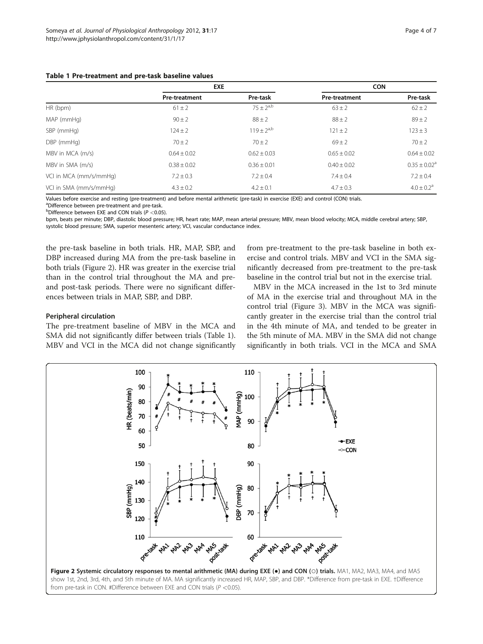<span id="page-3-0"></span>

|  | Table 1 Pre-treatment and pre-task baseline values |  |  |  |  |
|--|----------------------------------------------------|--|--|--|--|
|--|----------------------------------------------------|--|--|--|--|

|                        | <b>EXE</b>           |                 | <b>CON</b>           |                            |
|------------------------|----------------------|-----------------|----------------------|----------------------------|
|                        | <b>Pre-treatment</b> | Pre-task        | <b>Pre-treatment</b> | Pre-task                   |
| HR (bpm)               | $61 \pm 2$           | $75 + 2^{a,b}$  | $63 \pm 2$           | $62 \pm 2$                 |
| MAP (mmHg)             | $90 \pm 2$           | $88 \pm 2$      | $88 \pm 2$           | $89 \pm 2$                 |
| SBP (mmHg)             | $124 \pm 2$          | $119 + 2^{a,b}$ | $121 \pm 2$          | $123 \pm 3$                |
| DBP (mmHg)             | $70 \pm 2$           | $70 \pm 2$      | $69 \pm 2$           | $70 \pm 2$                 |
| MBV in MCA (m/s)       | $0.64 \pm 0.02$      | $0.62 \pm 0.03$ | $0.65 + 0.02$        | $0.64 \pm 0.02$            |
| MBV in SMA (m/s)       | $0.38 \pm 0.02$      | $0.36 \pm 0.01$ | $0.40 \pm 0.02$      | $0.35 \pm 0.02^a$          |
| VCI in MCA (mm/s/mmHg) | $7.2 \pm 0.3$        | $7.2 \pm 0.4$   | $7.4 \pm 0.4$        | $7.2 \pm 0.4$              |
| VCI in SMA (mm/s/mmHq) | $4.3 \pm 0.2$        | $4.2 \pm 0.1$   | $4.7 \pm 0.3$        | $4.0 \pm 0.2$ <sup>a</sup> |

Values before exercise and resting (pre-treatment) and before mental arithmetic (pre-task) in exercise (EXE) and control (CON) trials.

<sup>a</sup>Difference between pre-treatment and pre-task.

Peripheral circulation

<sup>b</sup>Difference between EXE and CON trials ( $P < 0.05$ ).

<sup>o</sup>Difference between EXE and CON trials (P <0.05).<br>bpm, beats per minute; DBP, diastolic blood pressure; HR, heart rate; MAP, mean arterial pressure; MBV, mean blood velocity; MCA, middle cerebral artery; SBP, systolic blood pressure; SMA, superior mesenteric artery; VCI, vascular conductance index.

the pre-task baseline in both trials. HR, MAP, SBP, and DBP increased during MA from the pre-task baseline in both trials (Figure 2). HR was greater in the exercise trial than in the control trial throughout the MA and preand post-task periods. There were no significant differences between trials in MAP, SBP, and DBP.

The pre-treatment baseline of MBV in the MCA and SMA did not significantly differ between trials (Table 1). from pre-treatment to the pre-task baseline in both exercise and control trials. MBV and VCI in the SMA significantly decreased from pre-treatment to the pre-task baseline in the control trial but not in the exercise trial.

MBV in the MCA increased in the 1st to 3rd minute of MA in the exercise trial and throughout MA in the control trial (Figure [3\)](#page-4-0). MBV in the MCA was significantly greater in the exercise trial than the control trial in the 4th minute of MA, and tended to be greater in the 5th minute of MA. MBV in the SMA did not change significantly in both trials. VCI in the MCA and SMA



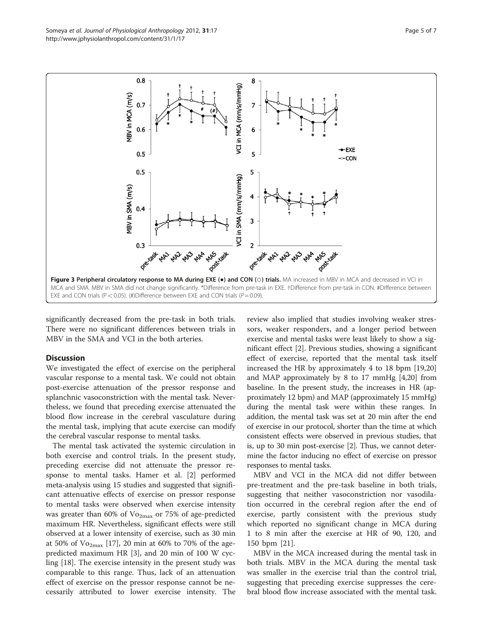<span id="page-4-0"></span>

significantly decreased from the pre-task in both trials. There were no significant differences between trials in MBV in the SMA and VCI in the both arteries.

## **Discussion**

We investigated the effect of exercise on the peripheral vascular response to a mental task. We could not obtain post-exercise attenuation of the pressor response and splanchnic vasoconstriction with the mental task. Nevertheless, we found that preceding exercise attenuated the blood flow increase in the cerebral vasculature during the mental task, implying that acute exercise can modify the cerebral vascular response to mental tasks.

The mental task activated the systemic circulation in both exercise and control trials. In the present study, preceding exercise did not attenuate the pressor response to mental tasks. Hamer et al. [[2\]](#page-5-0) performed meta-analysis using 15 studies and suggested that significant attenuative effects of exercise on pressor response to mental tasks were observed when exercise intensity was greater than 60% of  $Vo_{2max}$  or 75% of age-predicted maximum HR. Nevertheless, significant effects were still observed at a lower intensity of exercise, such as 30 min at 50% of  $\mathrm{Vo}_{2\text{max}}$  [[17](#page-6-0)], 20 min at 60% to 70% of the agepredicted maximum HR [\[3](#page-5-0)], and 20 min of 100 W cycling [\[18](#page-6-0)]. The exercise intensity in the present study was comparable to this range. Thus, lack of an attenuation effect of exercise on the pressor response cannot be necessarily attributed to lower exercise intensity. The

review also implied that studies involving weaker stressors, weaker responders, and a longer period between exercise and mental tasks were least likely to show a significant effect [\[2](#page-5-0)]. Previous studies, showing a significant effect of exercise, reported that the mental task itself increased the HR by approximately 4 to 18 bpm [[19](#page-6-0),[20](#page-6-0)] and MAP approximately by 8 to 17 mmHg [\[4,20\]](#page-6-0) from baseline. In the present study, the increases in HR (approximately 12 bpm) and MAP (approximately 15 mmHg) during the mental task were within these ranges. In addition, the mental task was set at 20 min after the end of exercise in our protocol, shorter than the time at which consistent effects were observed in previous studies, that is, up to 30 min post-exercise [\[2\]](#page-5-0). Thus, we cannot determine the factor inducing no effect of exercise on pressor responses to mental tasks.

MBV and VCI in the MCA did not differ between pre-treatment and the pre-task baseline in both trials, suggesting that neither vasoconstriction nor vasodilation occurred in the cerebral region after the end of exercise, partly consistent with the previous study which reported no significant change in MCA during 1 to 8 min after the exercise at HR of 90, 120, and 150 bpm [[21\]](#page-6-0).

MBV in the MCA increased during the mental task in both trials. MBV in the MCA during the mental task was smaller in the exercise trial than the control trial, suggesting that preceding exercise suppresses the cerebral blood flow increase associated with the mental task.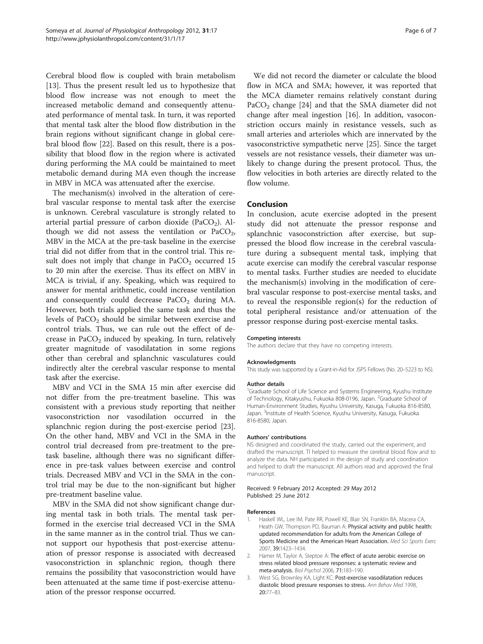<span id="page-5-0"></span>Cerebral blood flow is coupled with brain metabolism [[13\]](#page-6-0). Thus the present result led us to hypothesize that blood flow increase was not enough to meet the increased metabolic demand and consequently attenuated performance of mental task. In turn, it was reported that mental task alter the blood flow distribution in the brain regions without significant change in global cerebral blood flow [[22\]](#page-6-0). Based on this result, there is a possibility that blood flow in the region where is activated during performing the MA could be maintained to meet metabolic demand during MA even though the increase in MBV in MCA was attenuated after the exercise.

The mechanism(s) involved in the alteration of cerebral vascular response to mental task after the exercise is unknown. Cerebral vasculature is strongly related to arterial partial pressure of carbon dioxide (PaCO<sub>2</sub>). Although we did not assess the ventilation or  $PaCO<sub>2</sub>$ , MBV in the MCA at the pre-task baseline in the exercise trial did not differ from that in the control trial. This result does not imply that change in  $PaCO<sub>2</sub>$  occurred 15 to 20 min after the exercise. Thus its effect on MBV in MCA is trivial, if any. Speaking, which was required to answer for mental arithmetic, could increase ventilation and consequently could decrease  $PaCO<sub>2</sub>$  during MA. However, both trials applied the same task and thus the levels of  $PaCO<sub>2</sub>$  should be similar between exercise and control trials. Thus, we can rule out the effect of decrease in PaCO<sub>2</sub> induced by speaking. In turn, relatively greater magnitude of vasodilatation in some regions other than cerebral and splanchnic vasculatures could indirectly alter the cerebral vascular response to mental task after the exercise.

MBV and VCI in the SMA 15 min after exercise did not differ from the pre-treatment baseline. This was consistent with a previous study reporting that neither vasoconstriction nor vasodilation occurred in the splanchnic region during the post-exercise period [\[23](#page-6-0)]. On the other hand, MBV and VCI in the SMA in the control trial decreased from pre-treatment to the pretask baseline, although there was no significant difference in pre-task values between exercise and control trials. Decreased MBV and VCI in the SMA in the control trial may be due to the non-significant but higher pre-treatment baseline value.

MBV in the SMA did not show significant change during mental task in both trials. The mental task performed in the exercise trial decreased VCI in the SMA in the same manner as in the control trial. Thus we cannot support our hypothesis that post-exercise attenuation of pressor response is associated with decreased vasoconstriction in splanchnic region, though there remains the possibility that vasoconstriction would have been attenuated at the same time if post-exercise attenuation of the pressor response occurred.

We did not record the diameter or calculate the blood flow in MCA and SMA; however, it was reported that the MCA diameter remains relatively constant during  $PaCO<sub>2</sub>$  change [[24\]](#page-6-0) and that the SMA diameter did not change after meal ingestion [\[16](#page-6-0)]. In addition, vasoconstriction occurs mainly in resistance vessels, such as small arteries and arterioles which are innervated by the vasoconstrictive sympathetic nerve [[25\]](#page-6-0). Since the target vessels are not resistance vessels, their diameter was unlikely to change during the present protocol. Thus, the flow velocities in both arteries are directly related to the flow volume.

### Conclusion

In conclusion, acute exercise adopted in the present study did not attenuate the pressor response and splanchnic vasoconstriction after exercise, but suppressed the blood flow increase in the cerebral vasculature during a subsequent mental task, implying that acute exercise can modify the cerebral vascular response to mental tasks. Further studies are needed to elucidate the mechanism(s) involving in the modification of cerebral vascular response to post-exercise mental tasks, and to reveal the responsible region(s) for the reduction of total peripheral resistance and/or attenuation of the pressor response during post-exercise mental tasks.

#### Competing interests

The authors declare that they have no competing interests.

#### Acknowledgments

This study was supported by a Grant-in-Aid for JSPS Fellows (No. 20–5223 to NS).

#### Author details

<sup>1</sup>Graduate School of Life Science and Systems Engineering, Kyushu Institute of Technology, Kitakyushu, Fukuoka 808-0196, Japan. <sup>2</sup>Graduate School of Human-Environment Studies, Kyushu University, Kasuga, Fukuoka 816-8580, Japan. <sup>3</sup>Institute of Health Science, Kyushu University, Kasuga, Fukuoka 816-8580, Japan.

#### Authors' contributions

NS designed and coordinated the study, carried out the experiment, and drafted the manuscript. TI helped to measure the cerebral blood flow and to analyze the data. NH participated in the design of study and coordination and helped to draft the manuscript. All authors read and approved the final manuscript.

#### Received: 9 February 2012 Accepted: 29 May 2012 Published: 25 June 2012

#### References

- 1. Haskell WL, Lee IM, Pate RR, Powell KE, Blair SN, Franklin BA, Macera CA, Heath GW, Thompson PD, Bauman A: Physical activity and public health: updated recommendation for adults from the American College of Sports Medicine and the American Heart Association. Med Sci Sports Exerc 2007, 39:1423–1434.
- 2. Hamer M, Taylor A, Steptoe A: The effect of acute aerobic exercise on stress related blood pressure responses: a systematic review and meta-analysis. Biol Psychol 2006, 71:183–190.
- 3. West SG, Brownley KA, Light KC: Post-exercise vasodilatation reduces diastolic blood pressure responses to stress. Ann Behav Med 1998, 20:77–83.